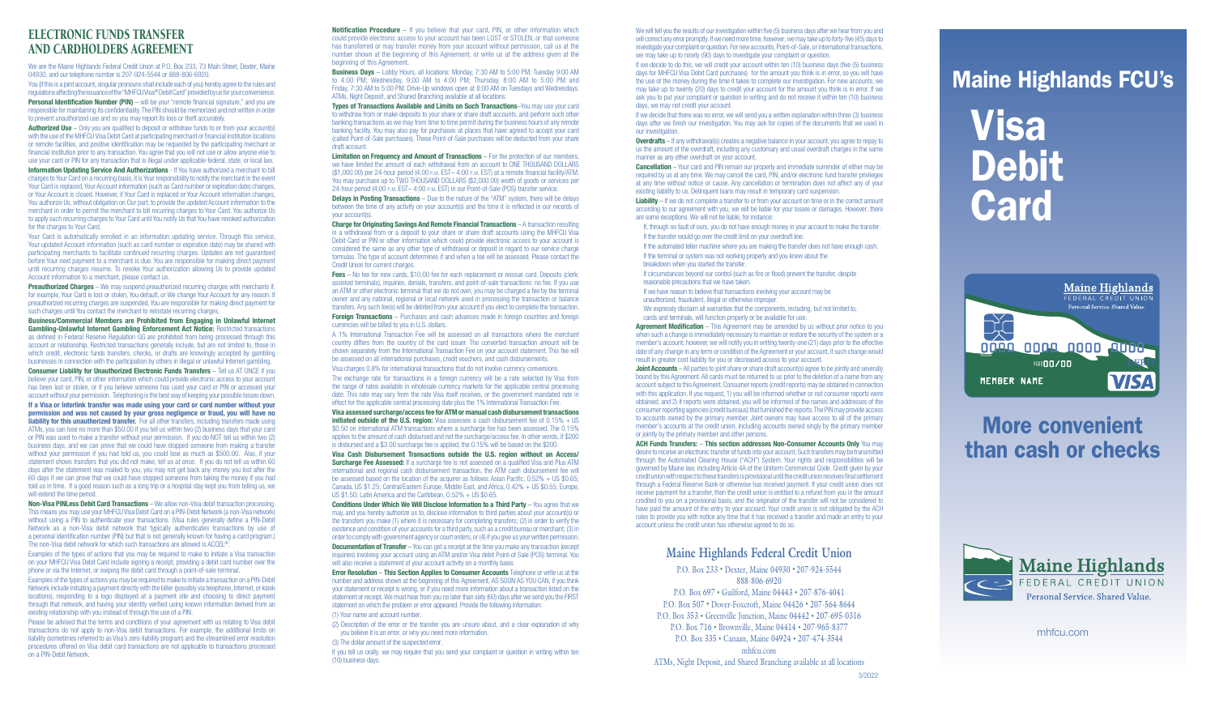#### ELECTRONIC FUNDS TRANSFER AND CARDHOLDERS AGREEMENT

We are the Maine Highlands Federal Credit Union at P.O. Box 233, 73 Main Street, Dexter, Maine 04930, and our telephone number is 207-924-5544 or 888-806-6920.

You (if this is a joint account, singular pronouns shall include each of you) hereby agree to the rules and regulations affecting the issuance of the "MHFCU Visa® Debit Card" provided by us for your convenience.

**Personal Identification Number (PIN)** – will be your "remote financial signature," and you are responsible for maintaining its confidentiality. The PIN should be memorized and not written in order to prevent unauthorized use and so you may report its loss or theft accurately.

**Authorized Use** – Only you are qualified to deposit or withdraw funds to or from your account(s) with the use of the MHFCU Visa Debit Card at participating merchant or financial institution locations or remote facilities, and positive identification may be requested by the participating merchant or financial institution prior to any transaction. You agree that you will not use or allow anyone else to use your card or PIN for any transaction that is illegal under applicable federal, state, or local law.

Information Updating Service And Authorizations - If You have authorized a merchant to bill charges to Your Card on a recurring basis, it is Your responsibility to notify the merchant in the event Your Card is replaced, Your Account information (such as Card number or expiration date) changes, or Your Account is closed. However, if Your Card is replaced or Your Account information changes, You authorize Us, without obligation on Our part, to provide the updated Account information to the merchant in order to permit the merchant to bill recurring charges to Your Card. You authorize Us to apply such recurring charges to Your Card until You notify Us that You have revoked authorization for the charges to Your Card.

**Preauthorized Charges** – We may suspend preauthorized recurring charges with merchants if, for example, Your Card is lost or stolen, You default, or We change Your Account for any reason. If preauthorized recurring charges are suspended, You are responsible for making direct payment for such charges until You contact the merchant to reinstate recurring charges.

Consumer Liability for Unauthorized Electronic Funds Transfers - Tell us AT ONCE if you believe your card, PIN, or other information which could provide electronic access to your account has been lost or stolen, or if you believe someone has used your card or PIN or accessed your account without your permission. Telephoning is the best way of keeping your possible losses down.

Your Card is automatically enrolled in an information updating service. Through this service, Your updated Account information (such as card number or expiration date) may be shared with participating merchants to facilitate continued recurring charges. Updates are not guaranteed before Your next payment to a merchant is due. You are responsible for making direct payment until recurring charges resume. To revoke Your authorization allowing Us to provide updated Account information to a merchant, please contact us.

Business/Commercial Members are Prohibited from Engaging in Unlawful Internet Gambling-Unlawful Internet Gambling Enforcement Act Notice: Restricted transactions as defined in Federal Reserve Regulation GG are prohibited from being processed through this account or relationship. Restricted transactions generally include, but are not limited to, those in which credit, electronic funds transfers, checks, or drafts are knowingly accepted by gambling businesses in connection with the participation by others in illegal or unlawful Internet gambling.

**Notification Procedure** – If you believe that your card, PIN, or other information which could provide electronic access to your account has been LOST or STOLEN, or that someone has transferred or may transfer money from your account without permission, call us at the number shown at the beginning of this Agreement, or write us at the address given at the beginning of this Agreement.

Limitation on Frequency and Amount of Transactions – For the protection of our members, we have limited the amount of each withdrawal from an account to ONE THOUSAND DOLLARS (\$1,000.00) per 24-hour period (4:00 p.m. EST– 4:00 p.m. EST) at a remote financial facility/ATM. You may purchase up to TWO THOUSAND DOLLARS (\$2,000.00) worth of goods or services per 24-hour period (4:00 p.m. EST– 4:00 p.m. EST) in our Point-of-Sale (POS) transfer service.

**Delays in Posting Transactions** – Due to the nature of the "ATM" system, there will be delays between the time of any activity on your account(s) and the time it is reflected in our records of your account(s).

If a Visa or Interlink transfer was made using your card or card number without your permission and was not caused by your gross negligence or fraud, you will have no liability for this unauthorized transfer. For all other transfers, including transfers made using ATMs, you can lose no more than \$50.00 if you tell us within two (2) business days that your card or PIN was used to make a transfer without your permission. If you do NOT tell us within two (2) business days, and we can prove that we could have stopped someone from making a transfer without your permission if you had told us, you could lose as much as \$500.00. Also, if your statement shows transfers that you did not make, tell us at once. If you do not tell us within 60 days after the statement was mailed to you, you may not get back any money you lost after the 60 days if we can prove that we could have stopped someone from taking the money if you had told us in time. If a good reason such as a long trip or a hospital stay kept you from telling us, we will extend the time period.

Fees - No fee for new cards, \$10.00 fee for each replacement or reissue card. Deposits (clerk: assisted terminals), inquiries, denials, transfers, and point-of-sale transactions: no fee. If you use an ATM or other electronic terminal that we do not own, you may be charged a fee by the terminal owner and any national, regional or local network used in processing the transaction or balance transfers. Any such fee(s) will be debited from your account if you elect to complete the transaction.

Foreign Transactions - Purchases and cash advances made in foreign countries and foreign currencies will be billed to you in U.S. dollars.

Non-Visa PINLess Debit Card Transactions – We allow non-Visa debit transaction processing. This means you may use your MHFCU Visa Debit Card on a PIN-Debit Network (a non-Visa network) without using a PIN to authenticate your transactions. (Visa rules generally define a PIN-Debit Network as a non-Visa debit network that typically authenticates transactions by use of a personal identification number (PIN) but that is not generally known for having a card program.) The non-Visa debit network for which such transactions are allowed is ACCEL®.

Visa assessed surcharge/access fee for ATM or manual cash disbursement transactions initiated outside of the U.S. region: Visa assesses a cash disbursement fee of  $0.15% + US$ \$0.50 on international ATM transactions where a surcharge fee has been assessed. The 0.15% applies to the amount of cash disbursed and not the surcharge/access fee. In other words, if \$200 is disbursed and a \$3.00 surcharge fee is applied, the 0.15% will be based on the \$200.

Examples of the types of actions that you may be required to make to initiate a Visa transaction on your MHFCU Visa Debit Card include signing a receipt, providing a debit card number over the phone or via the Internet, or swiping the debit card through a point-of-sale terminal.

Examples of the types of actions you may be required to make to initiate a transaction on a PIN-Debit Network include initiating a payment directly with the biller (possibly via telephone, Internet, or kiosk locations), responding to a logo displayed at a payment site and choosing to direct payment through that network, and having your identity verified using known information derived from an existing relationship with you instead of through the use of a PIN.

Conditions Under Which We Will Disclose Information to a Third Party - You agree that we may, and you hereby authorize us to, disclose information to third parties about your account(s) or the transfers you make (1) where it is necessary for completing transfers; (2) in order to verify the existence and condition of your accounts for a third party, such as a credit bureau or merchant; (3) in order to comply with government agency or court orders; or (4) if you give us your written permission.

**Documentation of Transfer** – You can get a receipt at the time you make any transaction (except inquiries) involving your account using an ATM and/or Visa debit Point-of Sale (POS) terminal. You will also receive a statement of your account activity on a monthly basis.

Please be advised that the terms and conditions of your agreement with us relating to Visa debit transactions do not apply to non-Visa debit transactions. For example, the additional limits on liability (sometimes referred to as Visa's zero-liability program) and the streamlined error resolution procedures offered on Visa debit card transactions are not applicable to transactions processed on a PIN-Debit Network.

If you tell us orally, we may require that you send your complaint or question in writing within ten (10) business days.

We will tell you the results of our investigation within five (5) business days after we hear from you and will correct any error promptly. If we need more time, however, we may take up to forty-five (45) days to investigate your complaint or question. For new accounts, Point-of-Sale, or international transactions, we may take up to ninety (90) days to investigate your complaint or question.

Business Days – Lobby Hours, all locations: Monday, 7:30 AM to 5:00 PM; Tuesday 9:00 AM to 4:00 PM; Wednesday, 9:00 AM to 4:00 PM; Thursday, 8:00 AM to 5:00 PM and Friday, 7:30 AM to 5:00 PM. Drive-Up windows open at 8:00 AM on Tuesdays and Wednesdays. ATMs, Night Deposit, and Shared Branching available at all locations.

> Overdrafts – If any withdrawal(s) creates a negative balance in your account, you agree to repay to us the amount of the overdraft, including any customary and usual overdraft charges in the same manner as any other overdraft on your account.

> **Cancellation** – Your card and PIN remain our property and immediate surrender of either may be required by us at any time. We may cancel the card, PIN, and/or electronic fund transfer privileges at any time without notice or cause. Any cancellation or termination does not affect any of your existing liability to us. Delinquent loans may result in temporary card suspension.

Types of Transactions Available and Limits on Such Transactions–You may use your card to withdraw from or make deposits to your share or share draft accounts, and perform such other banking transactions as we may from time to time permit during the business hours of any remote banking facility. You may also pay for purchases at places that have agreed to accept your card (called Point-of-Sale purchases). These Point-of-Sale purchases will be deducted from your share draft account.

> Liability – If we do not complete a transfer to or from your account on time or in the correct amount according to our agreement with you, we will be liable for your losses or damages. However, there are some exceptions. We will not be liable, for instance:

If, through no fault of ours, you do not have enough money in your account to make the transfer. If the transfer would go over the credit limit on your overdraft line.

If the automated teller machine where you are making the transfer does not have enough cash. If the terminal or system was not working properly and you knew about the

If circumstances beyond our control (such as fire or flood) prevent the transfer, despite reasonable precautions that we have taken.

If we have reason to believe that transactions involving your account may be unauthorized, fraudulent, illegal or otherwise improper.

Agreement Modification – This Agreement may be amended by us without prior notice to you when such a change is immediately necessary to maintain or restore the security of the system or a member's account; however, we will notify you in writing twenty-one (21) days prior to the effective date of any change in any term or condition of the Agreement or your account, if such change would result in greater cost liability for you or decreased access to your account.

Joint Accounts – All parties to joint share or share draft account(s) agree to be jointly and severally bound by this Agreement. All cards must be returned to us prior to the deletion of a name from any account subject to this Agreement. Consumer reports (credit reports) may be obtained in connection with this application. If you request, 1) you will be informed whether or not consumer reports were obtained; and 2) if reports were obtained, you will be informed of the names and addresses of the consumer reporting agencies (credit bureaus) that furnished the reports. The PIN may provide access to accounts owned by the primary member. Joint owners may have access to all of the primary member's accounts at the credit union, including accounts owned singly by the primary member or jointly by the primary member and other persons.

Charge for Originating Savings And Remote Financial Transactions – A transaction resulting in a withdrawal from or a deposit to your share or share draft accounts using the MHFCU Visa Debit Card or PIN or other information which could provide electronic access to your account is considered the same as any other type of withdrawal or deposit in regard to our service charge formulas. The type of account determines if and when a fee will be assessed. Please contact the Credit Union for current charges.

> ACH Funds Transfers: - This section addresses Non-Consumer Accounts Only You may desire to receive an electronic transfer of funds into your account. Such transfers may be transmitted through the Automated Clearing House ("ACH") System. Your rights and responsibilities will be governed by Maine law, including Article 4A of the Uniform Commercial Code. Credit given by your credit union with respect to these transfers is provisional until the credit union receives final settlement through a Federal Reserve Bank or otherwise has received payment. If your credit union does not receive payment for a transfer, then the credit union is entitled to a refund from you in the amount credited to you on a provisional basis, and the originator of the transfer will not be considered to have paid the amount of the entry to your account. Your credit union is not obligated by the ACH rules to provide you with notice any time that it has received a transfer and made an entry to your account unless the credit union has otherwise agreed to do so.

Visa Debit **Card** 

A 1% International Transaction Fee will be assessed on all transactions where the merchant country differs from the country of the card issuer. The converted transaction amount will be shown separately from the International Transaction Fee on your account statement. This fee will be assessed on all international purchases, credit vouchers, and cash disbursements.

Visa charges 0.8% for international transactions that do not involve currency conversions.

The exchange rate for transactions in a foreign currency will be a rate selected by Visa from the range of rates available in wholesale currency markets for the applicable central processing date. This rate may vary from the rate Visa itself receives, or the government mandated rate in effect for the applicable central processing date plus the 1% International Transaction Fee.

Visa Cash Disbursement Transactions outside the U.S. region without an Access/ Surcharge Fee Assessed: If a surcharge fee is not assessed on a qualified Visa and Plus ATM international and regional cash disbursement transaction, the ATM cash disbursement fee will be assessed based on the location of the acquirer as follows: Asian Pacific,  $0.52\% + US $0.65$ ; Canada, US \$1.25; Central/Eastern Europe, Middle East, and Africa, 0.42% + US \$0.55; Europe, US \$1.50; Latin America and the Caribbean, O.52% + US \$0.65.

Error Resolution – This Section Applies to Consumer Accounts Telephone or write us at the number and address shown at the beginning of this Agreement, AS SOON AS YOU CAN, if you think your statement or receipt is wrong, or if you need more information about a transaction listed on the statement or receipt. We must hear from you no later than sixty (60) days after we send you the FIRST statement on which the problem or error appeared. Provide the following information:

- (1) Your name and account number.
- (2) Description of the error or the transfer you are unsure about, and a clear explanation of why you believe it is an error, or why you need more information.
- (3) The dollar amount of the suspected error.

If we decide to do this, we will credit your account within ten (10) business days (five (5) business days for MHFCU Visa Debit Card purchases) for the amount you think is in error, so you will have the use of the money during the time it takes to complete our investigation. For new accounts, we may take up to twenty (20) days to credit your account for the amount you think is in error. If we ask you to put your complaint or question in writing and do not receive it within ten (10) business days, we may not credit your account.

If we decide that there was no error, we will send you a written explanation within three (3) business days after we finish our investigation. You may ask for copies of the documents that we used in our investigation.

breakdown when you started the transfer.

We expressly disclaim all warranties that the components, including, but not limited to, cards and terminals, will function properly or be available for use.

#### **Maine Highlands Federal Credit Union**

P.O. Box 233 • Dexter, Maine 04930 • 207-924-5544 888-806-6920 P.O. Box 697 • Guilford, Maine 04443 • 207-876-4041 P.O. Box 507 • Dover-Foxcroft, Maine 04426 • 207-564-8644

P.O. Box 353 • Greenville Junction, Maine 04442 • 207-695-0316 P.O. Box 716 • Brownville, Maine 04414 • 207-965-8377

P.O. Box 335 • Canaan, Maine 04924 • 207-474-3544

mhfcu.com

ATMs, Night Deposit, and Shared Branching available at all locations

mhfcu.com

# Maine Highlands FCU's

# More convenient than cash or checks